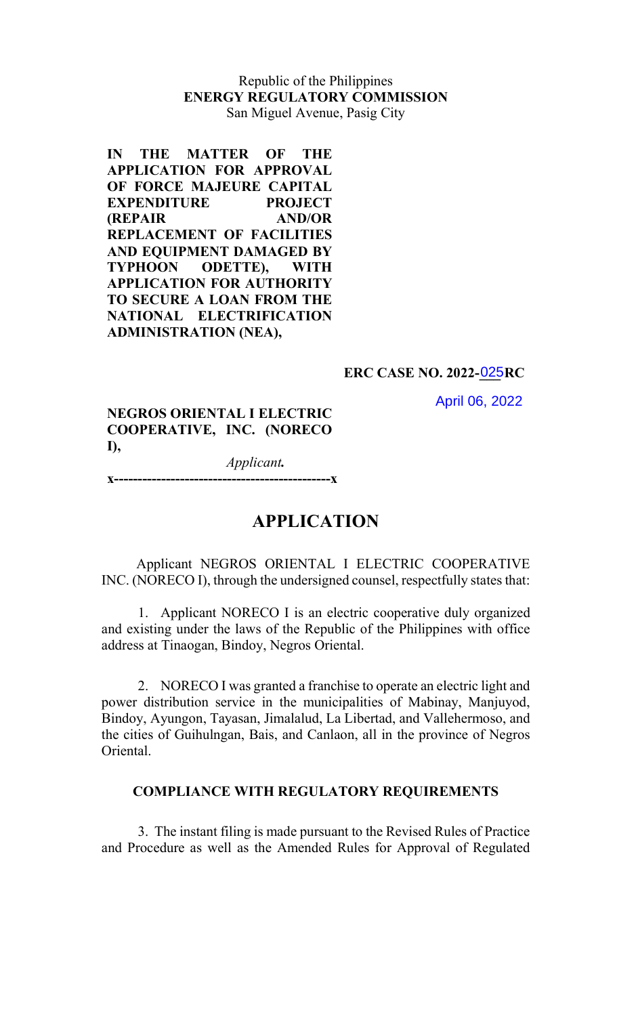# Republic of the Philippines ENERGY REGULATORY COMMISSION San Miguel Avenue, Pasig City

IN THE MATTER OF THE APPLICATION FOR APPROVAL OF FORCE MAJEURE CAPITAL EXPENDITURE PROJECT (REPAIR AND/OR REPLACEMENT OF FACILITIES AND EQUIPMENT DAMAGED BY TYPHOON ODETTE), WITH APPLICATION FOR AUTHORITY TO SECURE A LOAN FROM THE NATIONAL ELECTRIFICATION ADMINISTRATION (NEA),

### ERC CASE NO. 2022-025RC

April 06, 2022

NEGROS ORIENTAL I ELECTRIC COOPERATIVE, INC. (NORECO I),

 Applicant. x----------------------------------------------x

# APPLICATION

Applicant NEGROS ORIENTAL I ELECTRIC COOPERATIVE INC. (NORECO I), through the undersigned counsel, respectfully states that:

1. Applicant NORECO I is an electric cooperative duly organized and existing under the laws of the Republic of the Philippines with office address at Tinaogan, Bindoy, Negros Oriental.

2. NORECO I was granted a franchise to operate an electric light and power distribution service in the municipalities of Mabinay, Manjuyod, Bindoy, Ayungon, Tayasan, Jimalalud, La Libertad, and Vallehermoso, and the cities of Guihulngan, Bais, and Canlaon, all in the province of Negros Oriental.

#### COMPLIANCE WITH REGULATORY REQUIREMENTS

3. The instant filing is made pursuant to the Revised Rules of Practice and Procedure as well as the Amended Rules for Approval of Regulated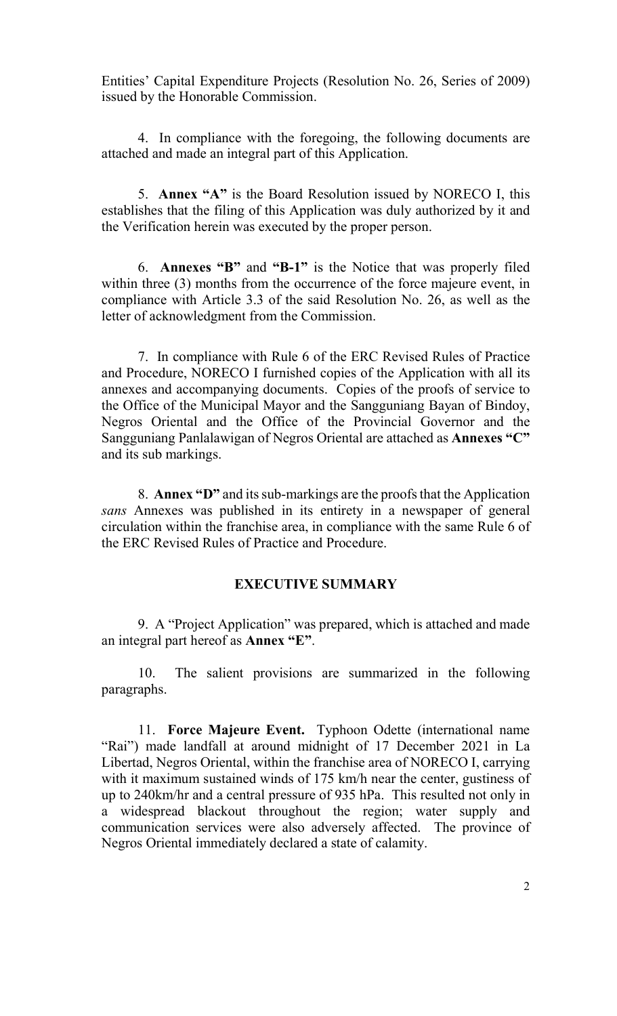Entities' Capital Expenditure Projects (Resolution No. 26, Series of 2009) issued by the Honorable Commission.

4. In compliance with the foregoing, the following documents are attached and made an integral part of this Application.

5. Annex "A" is the Board Resolution issued by NORECO I, this establishes that the filing of this Application was duly authorized by it and the Verification herein was executed by the proper person.

 6. Annexes "B" and "B-1" is the Notice that was properly filed within three (3) months from the occurrence of the force majeure event, in compliance with Article 3.3 of the said Resolution No. 26, as well as the letter of acknowledgment from the Commission.

7. In compliance with Rule 6 of the ERC Revised Rules of Practice and Procedure, NORECO I furnished copies of the Application with all its annexes and accompanying documents. Copies of the proofs of service to the Office of the Municipal Mayor and the Sangguniang Bayan of Bindoy, Negros Oriental and the Office of the Provincial Governor and the Sangguniang Panlalawigan of Negros Oriental are attached as Annexes "C" and its sub markings.

8. Annex "D" and its sub-markings are the proofs that the Application sans Annexes was published in its entirety in a newspaper of general circulation within the franchise area, in compliance with the same Rule 6 of the ERC Revised Rules of Practice and Procedure.

## EXECUTIVE SUMMARY

9. A "Project Application" was prepared, which is attached and made an integral part hereof as Annex "E".

10. The salient provisions are summarized in the following paragraphs.

11. Force Majeure Event. Typhoon Odette (international name "Rai") made landfall at around midnight of 17 December 2021 in La Libertad, Negros Oriental, within the franchise area of NORECO I, carrying with it maximum sustained winds of 175 km/h near the center, gustiness of up to 240km/hr and a central pressure of 935 hPa. This resulted not only in a widespread blackout throughout the region; water supply and communication services were also adversely affected. The province of Negros Oriental immediately declared a state of calamity.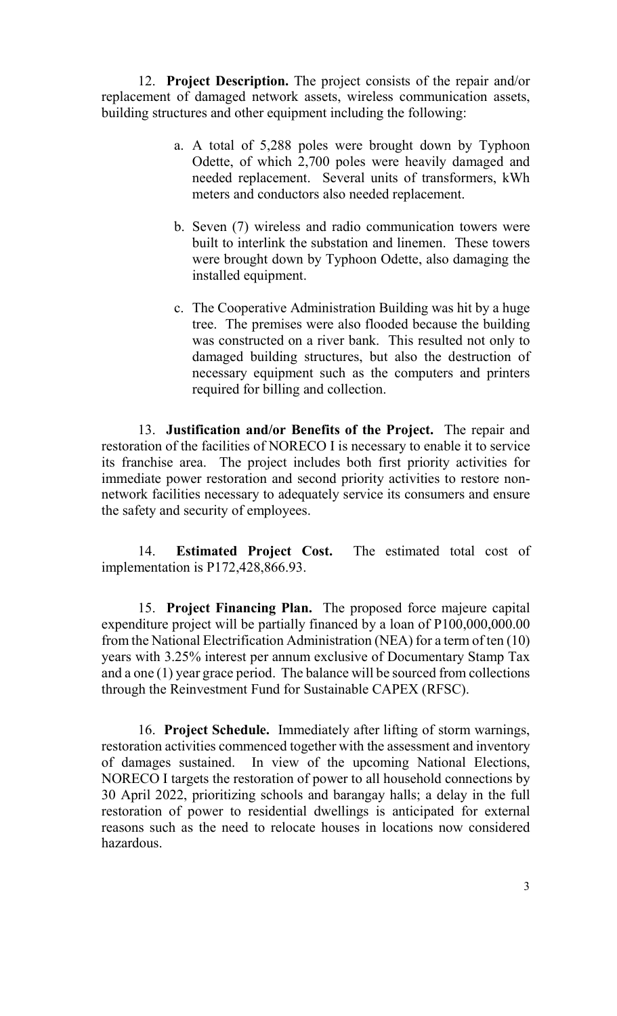12. Project Description. The project consists of the repair and/or replacement of damaged network assets, wireless communication assets, building structures and other equipment including the following:

- a. A total of 5,288 poles were brought down by Typhoon Odette, of which 2,700 poles were heavily damaged and needed replacement. Several units of transformers, kWh meters and conductors also needed replacement.
- b. Seven (7) wireless and radio communication towers were built to interlink the substation and linemen. These towers were brought down by Typhoon Odette, also damaging the installed equipment.
- c. The Cooperative Administration Building was hit by a huge tree. The premises were also flooded because the building was constructed on a river bank. This resulted not only to damaged building structures, but also the destruction of necessary equipment such as the computers and printers required for billing and collection.

13. Justification and/or Benefits of the Project. The repair and restoration of the facilities of NORECO I is necessary to enable it to service its franchise area. The project includes both first priority activities for immediate power restoration and second priority activities to restore nonnetwork facilities necessary to adequately service its consumers and ensure the safety and security of employees.

14. Estimated Project Cost. The estimated total cost of implementation is P172,428,866.93.

15. Project Financing Plan. The proposed force majeure capital expenditure project will be partially financed by a loan of P100,000,000.00 from the National Electrification Administration (NEA) for a term of ten (10) years with 3.25% interest per annum exclusive of Documentary Stamp Tax and a one (1) year grace period. The balance will be sourced from collections through the Reinvestment Fund for Sustainable CAPEX (RFSC).

16. Project Schedule. Immediately after lifting of storm warnings, restoration activities commenced together with the assessment and inventory of damages sustained. In view of the upcoming National Elections, NORECO I targets the restoration of power to all household connections by 30 April 2022, prioritizing schools and barangay halls; a delay in the full restoration of power to residential dwellings is anticipated for external reasons such as the need to relocate houses in locations now considered hazardous.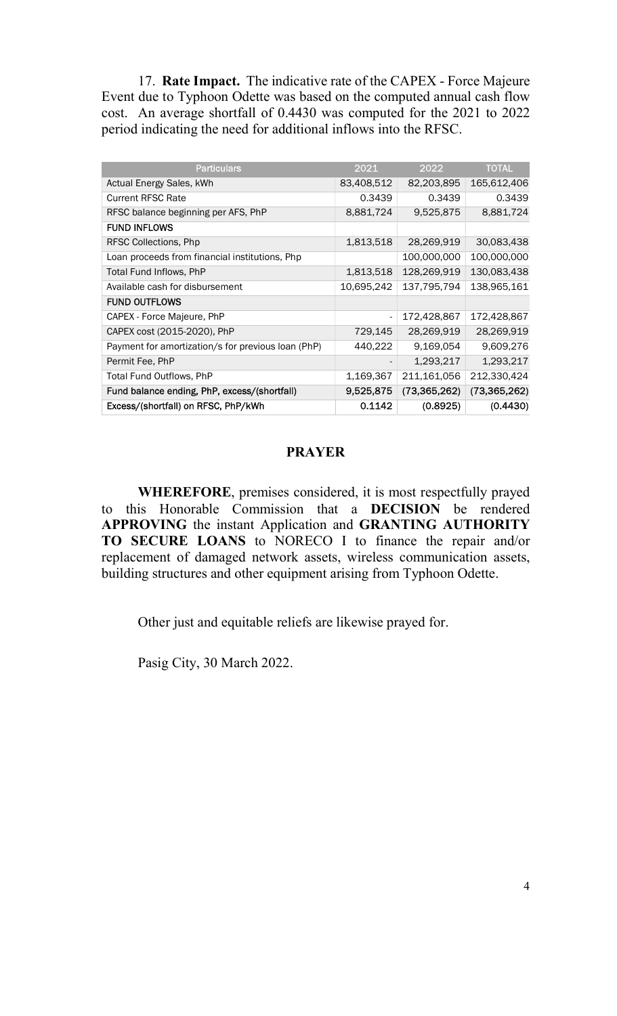17. Rate Impact. The indicative rate of the CAPEX - Force Majeure Event due to Typhoon Odette was based on the computed annual cash flow cost. An average shortfall of 0.4430 was computed for the 2021 to 2022 period indicating the need for additional inflows into the RFSC.

| <b>Particulars</b>                                 | 2021                     | 2022           | <b>TOTAL</b>   |
|----------------------------------------------------|--------------------------|----------------|----------------|
| Actual Energy Sales, kWh                           | 83,408,512               | 82,203,895     | 165,612,406    |
| <b>Current RFSC Rate</b>                           | 0.3439                   | 0.3439         | 0.3439         |
| RFSC balance beginning per AFS, PhP                | 8,881,724                | 9,525,875      | 8,881,724      |
| <b>FUND INFLOWS</b>                                |                          |                |                |
| RFSC Collections, Php                              | 1,813,518                | 28,269,919     | 30,083,438     |
| Loan proceeds from financial institutions, Php     |                          | 100,000,000    | 100,000,000    |
| Total Fund Inflows, PhP                            | 1,813,518                | 128,269,919    | 130,083,438    |
| Available cash for disbursement                    | 10,695,242               | 137,795,794    | 138,965,161    |
| <b>FUND OUTFLOWS</b>                               |                          |                |                |
| CAPEX - Force Majeure, PhP                         |                          | 172,428,867    | 172,428,867    |
| CAPEX cost (2015-2020), PhP                        | 729,145                  | 28,269,919     | 28,269,919     |
| Payment for amortization/s for previous loan (PhP) | 440,222                  | 9,169,054      | 9,609,276      |
| Permit Fee, PhP                                    | $\overline{\phantom{a}}$ | 1,293,217      | 1,293,217      |
| Total Fund Outflows, PhP                           | 1,169,367                | 211,161,056    | 212,330,424    |
| Fund balance ending, PhP, excess/(shortfall)       | 9,525,875                | (73, 365, 262) | (73, 365, 262) |
| Excess/(shortfall) on RFSC, PhP/kWh                | 0.1142                   | (0.8925)       | (0.4430)       |
|                                                    |                          |                |                |

#### **PRAYER**

 WHEREFORE, premises considered, it is most respectfully prayed to this Honorable Commission that a DECISION be rendered APPROVING the instant Application and GRANTING AUTHORITY TO SECURE LOANS to NORECO I to finance the repair and/or replacement of damaged network assets, wireless communication assets, building structures and other equipment arising from Typhoon Odette.

Other just and equitable reliefs are likewise prayed for.

Pasig City, 30 March 2022.